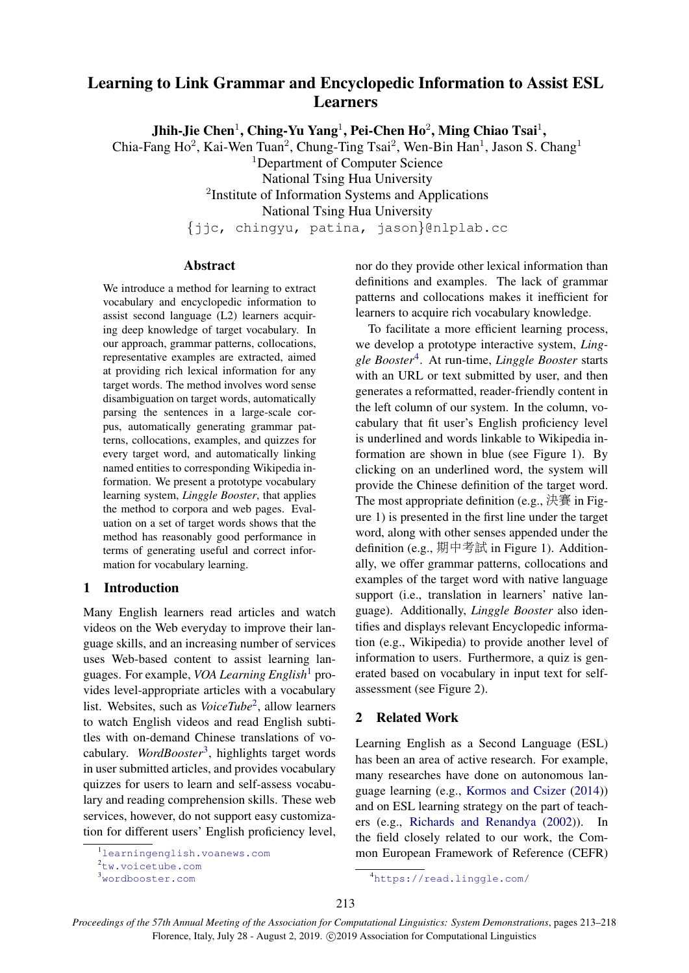# <span id="page-0-4"></span>Learning to Link Grammar and Encyclopedic Information to Assist ESL Learners

Jhih-Jie Chen $^1$ , Ching-Yu Yang $^1$ , Pei-Chen Ho $^2$ , Ming Chiao Tsai $^1,$ 

Chia-Fang Ho<sup>2</sup>, Kai-Wen Tuan<sup>2</sup>, Chung-Ting Tsai<sup>2</sup>, Wen-Bin Han<sup>1</sup>, Jason S. Chang<sup>1</sup>

<sup>1</sup>Department of Computer Science

National Tsing Hua University

<sup>2</sup>Institute of Information Systems and Applications

National Tsing Hua University

{jjc, chingyu, patina, jason}@nlplab.cc

# Abstract

We introduce a method for learning to extract vocabulary and encyclopedic information to assist second language (L2) learners acquiring deep knowledge of target vocabulary. In our approach, grammar patterns, collocations, representative examples are extracted, aimed at providing rich lexical information for any target words. The method involves word sense disambiguation on target words, automatically parsing the sentences in a large-scale corpus, automatically generating grammar patterns, collocations, examples, and quizzes for every target word, and automatically linking named entities to corresponding Wikipedia information. We present a prototype vocabulary learning system, *Linggle Booster*, that applies the method to corpora and web pages. Evaluation on a set of target words shows that the method has reasonably good performance in terms of generating useful and correct information for vocabulary learning.

# 1 Introduction

Many English learners read articles and watch videos on the Web everyday to improve their language skills, and an increasing number of services uses Web-based content to assist learning languages. For example, *VOA Learning English*[1](#page-0-0) provides level-appropriate articles with a vocabulary list. Websites, such as *VoiceTube*[2](#page-0-1) , allow learners to watch English videos and read English subtitles with on-demand Chinese translations of vocabulary. *WordBooster*[3](#page-0-2) , highlights target words in user submitted articles, and provides vocabulary quizzes for users to learn and self-assess vocabulary and reading comprehension skills. These web services, however, do not support easy customization for different users' English proficiency level, nor do they provide other lexical information than definitions and examples. The lack of grammar patterns and collocations makes it inefficient for learners to acquire rich vocabulary knowledge.

To facilitate a more efficient learning process, we develop a prototype interactive system, *Linggle Booster*[4](#page-0-3) . At run-time, *Linggle Booster* starts with an URL or text submitted by user, and then generates a reformatted, reader-friendly content in the left column of our system. In the column, vocabulary that fit user's English proficiency level is underlined and words linkable to Wikipedia information are shown in blue (see Figure 1). By clicking on an underlined word, the system will provide the Chinese definition of the target word. The most appropriate definition (e.g., 決賽 in Figure 1) is presented in the first line under the target word, along with other senses appended under the definition (e.g., 期中考<sup>試</sup> in Figure 1). Additionally, we offer grammar patterns, collocations and examples of the target word with native language support (i.e., translation in learners' native language). Additionally, *Linggle Booster* also identifies and displays relevant Encyclopedic information (e.g., Wikipedia) to provide another level of information to users. Furthermore, a quiz is generated based on vocabulary in input text for selfassessment (see Figure 2).

# 2 Related Work

Learning English as a Second Language (ESL) has been an area of active research. For example, many researches have done on autonomous language learning (e.g., [Kormos and Csizer](#page-4-0) [\(2014\)](#page-4-0)) and on ESL learning strategy on the part of teachers (e.g., [Richards and Renandya](#page-5-0) [\(2002\)](#page-5-0)). In the field closely related to our work, the Common European Framework of Reference (CEFR)

<span id="page-0-0"></span><sup>1</sup><learningenglish.voanews.com>

<span id="page-0-1"></span><sup>2</sup><tw.voicetube.com>

<span id="page-0-2"></span><sup>3</sup><wordbooster.com>

<span id="page-0-3"></span><sup>4</sup><https://read.linggle.com/>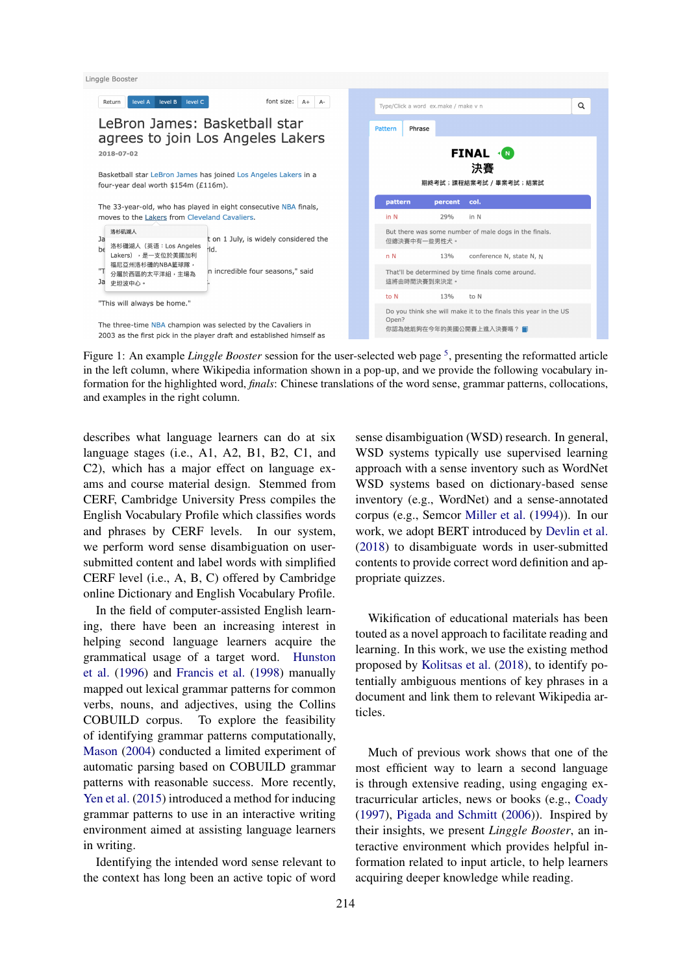

Figure 1: An example *Linggle Booster* session for the user-selected web page <sup>[5](#page-0-4)</sup>, presenting the reformatted article in the left column, where Wikipedia information shown in a pop-up, and we provide the following vocabulary information for the highlighted word, *finals*: Chinese translations of the word sense, grammar patterns, collocations, and examples in the right column.

describes what language learners can do at six language stages (i.e., A1, A2, B1, B2, C1, and C2), which has a major effect on language exams and course material design. Stemmed from CERF, Cambridge University Press compiles the English Vocabulary Profile which classifies words and phrases by CERF levels. In our system, we perform word sense disambiguation on usersubmitted content and label words with simplified CERF level (i.e., A, B, C) offered by Cambridge online Dictionary and English Vocabulary Profile.

In the field of computer-assisted English learning, there have been an increasing interest in helping second language learners acquire the grammatical usage of a target word. [Hunston](#page-4-1) [et al.](#page-4-1) [\(1996\)](#page-4-1) and [Francis et al.](#page-4-2) [\(1998\)](#page-4-2) manually mapped out lexical grammar patterns for common verbs, nouns, and adjectives, using the Collins COBUILD corpus. To explore the feasibility of identifying grammar patterns computationally, [Mason](#page-5-1) [\(2004\)](#page-5-1) conducted a limited experiment of automatic parsing based on COBUILD grammar patterns with reasonable success. More recently, [Yen et al.](#page-5-2) [\(2015\)](#page-5-2) introduced a method for inducing grammar patterns to use in an interactive writing environment aimed at assisting language learners in writing.

Identifying the intended word sense relevant to the context has long been an active topic of word

sense disambiguation (WSD) research. In general, WSD systems typically use supervised learning approach with a sense inventory such as WordNet WSD systems based on dictionary-based sense inventory (e.g., WordNet) and a sense-annotated corpus (e.g., Semcor [Miller et al.](#page-5-3) [\(1994\)](#page-5-3)). In our work, we adopt BERT introduced by [Devlin et al.](#page-4-3) [\(2018\)](#page-4-3) to disambiguate words in user-submitted contents to provide correct word definition and appropriate quizzes.

Wikification of educational materials has been touted as a novel approach to facilitate reading and learning. In this work, we use the existing method proposed by [Kolitsas et al.](#page-4-4) [\(2018\)](#page-4-4), to identify potentially ambiguous mentions of key phrases in a document and link them to relevant Wikipedia articles.

Much of previous work shows that one of the most efficient way to learn a second language is through extensive reading, using engaging extracurricular articles, news or books (e.g., [Coady](#page-4-5) [\(1997\)](#page-4-5), [Pigada and Schmitt](#page-5-4) [\(2006\)](#page-5-4)). Inspired by their insights, we present *Linggle Booster*, an interactive environment which provides helpful information related to input article, to help learners acquiring deeper knowledge while reading.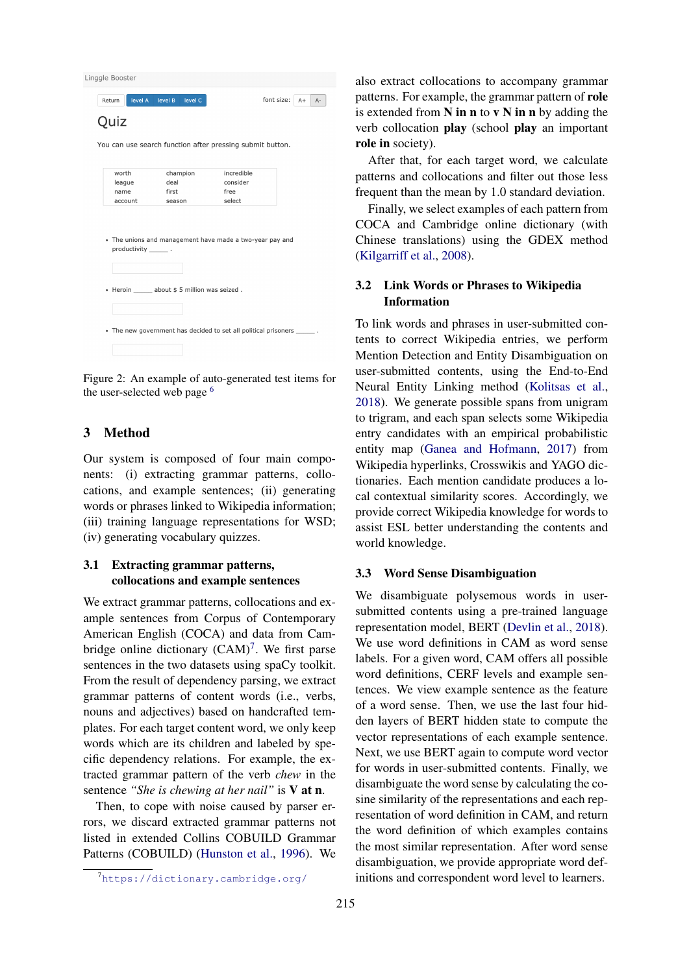Linggle Booster

| Return                 | level A level B level C                                                  |            | font size:<br>$A+$<br>$A -$ |
|------------------------|--------------------------------------------------------------------------|------------|-----------------------------|
| Quiz                   |                                                                          |            |                             |
|                        | You can use search function after pressing submit button.                |            |                             |
| worth                  | champion                                                                 | incredible |                             |
| league                 | deal                                                                     | consider   |                             |
| name                   | first                                                                    | free       |                             |
| account                | season                                                                   | select     |                             |
| productivity ________. | • The unions and management have made a two-year pay and                 |            |                             |
|                        | · Heroin about \$5 million was seized.                                   |            |                             |
|                        | • The new government has decided to set all political prisoners _______. |            |                             |

Figure 2: An example of auto-generated test items for the user-selected web page [6](#page-0-4)

# 3 Method

Our system is composed of four main components: (i) extracting grammar patterns, collocations, and example sentences; (ii) generating words or phrases linked to Wikipedia information; (iii) training language representations for WSD; (iv) generating vocabulary quizzes.

# 3.1 Extracting grammar patterns, collocations and example sentences

We extract grammar patterns, collocations and example sentences from Corpus of Contemporary American English (COCA) and data from Cambridge online dictionary  $(CAM)^7$  $(CAM)^7$ . We first parse sentences in the two datasets using spaCy toolkit. From the result of dependency parsing, we extract grammar patterns of content words (i.e., verbs, nouns and adjectives) based on handcrafted templates. For each target content word, we only keep words which are its children and labeled by specific dependency relations. For example, the extracted grammar pattern of the verb *chew* in the sentence *"She is chewing at her nail"* is V at n.

Then, to cope with noise caused by parser errors, we discard extracted grammar patterns not listed in extended Collins COBUILD Grammar Patterns (COBUILD) [\(Hunston et al.,](#page-4-1) [1996\)](#page-4-1). We also extract collocations to accompany grammar patterns. For example, the grammar pattern of role is extended from  $N$  in n to  $v \, N$  in n by adding the verb collocation play (school play an important role in society).

After that, for each target word, we calculate patterns and collocations and filter out those less frequent than the mean by 1.0 standard deviation.

Finally, we select examples of each pattern from COCA and Cambridge online dictionary (with Chinese translations) using the GDEX method [\(Kilgarriff et al.,](#page-4-6) [2008\)](#page-4-6).

# 3.2 Link Words or Phrases to Wikipedia Information

To link words and phrases in user-submitted contents to correct Wikipedia entries, we perform Mention Detection and Entity Disambiguation on user-submitted contents, using the End-to-End Neural Entity Linking method [\(Kolitsas et al.,](#page-4-4) [2018\)](#page-4-4). We generate possible spans from unigram to trigram, and each span selects some Wikipedia entry candidates with an empirical probabilistic entity map [\(Ganea and Hofmann,](#page-4-7) [2017\)](#page-4-7) from Wikipedia hyperlinks, Crosswikis and YAGO dictionaries. Each mention candidate produces a local contextual similarity scores. Accordingly, we provide correct Wikipedia knowledge for words to assist ESL better understanding the contents and world knowledge.

#### 3.3 Word Sense Disambiguation

We disambiguate polysemous words in usersubmitted contents using a pre-trained language representation model, BERT [\(Devlin et al.,](#page-4-3) [2018\)](#page-4-3). We use word definitions in CAM as word sense labels. For a given word, CAM offers all possible word definitions, CERF levels and example sentences. We view example sentence as the feature of a word sense. Then, we use the last four hidden layers of BERT hidden state to compute the vector representations of each example sentence. Next, we use BERT again to compute word vector for words in user-submitted contents. Finally, we disambiguate the word sense by calculating the cosine similarity of the representations and each representation of word definition in CAM, and return the word definition of which examples contains the most similar representation. After word sense disambiguation, we provide appropriate word definitions and correspondent word level to learners.

<span id="page-2-0"></span><sup>7</sup><https://dictionary.cambridge.org/>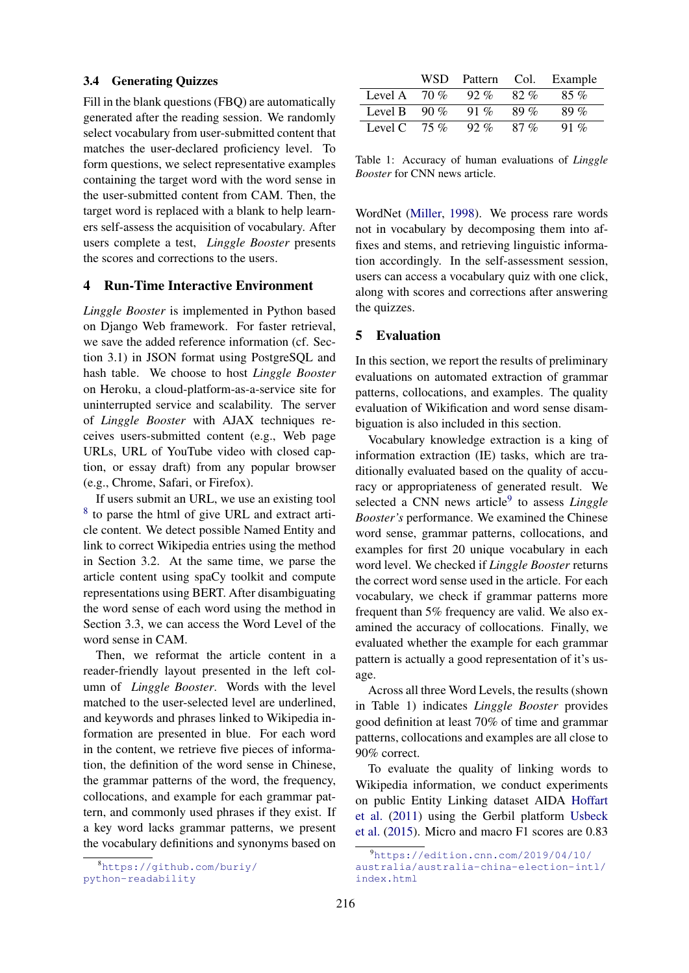#### 3.4 Generating Quizzes

Fill in the blank questions (FBQ) are automatically generated after the reading session. We randomly select vocabulary from user-submitted content that matches the user-declared proficiency level. To form questions, we select representative examples containing the target word with the word sense in the user-submitted content from CAM. Then, the target word is replaced with a blank to help learners self-assess the acquisition of vocabulary. After users complete a test, *Linggle Booster* presents the scores and corrections to the users.

# 4 Run-Time Interactive Environment

*Linggle Booster* is implemented in Python based on Django Web framework. For faster retrieval, we save the added reference information (cf. Section 3.1) in JSON format using PostgreSQL and hash table. We choose to host *Linggle Booster* on Heroku, a cloud-platform-as-a-service site for uninterrupted service and scalability. The server of *Linggle Booster* with AJAX techniques receives users-submitted content (e.g., Web page URLs, URL of YouTube video with closed caption, or essay draft) from any popular browser (e.g., Chrome, Safari, or Firefox).

If users submit an URL, we use an existing tool <sup>[8](#page-3-0)</sup> to parse the html of give URL and extract article content. We detect possible Named Entity and link to correct Wikipedia entries using the method in Section 3.2. At the same time, we parse the article content using spaCy toolkit and compute representations using BERT. After disambiguating the word sense of each word using the method in Section 3.3, we can access the Word Level of the word sense in CAM.

Then, we reformat the article content in a reader-friendly layout presented in the left column of *Linggle Booster*. Words with the level matched to the user-selected level are underlined, and keywords and phrases linked to Wikipedia information are presented in blue. For each word in the content, we retrieve five pieces of information, the definition of the word sense in Chinese, the grammar patterns of the word, the frequency, collocations, and example for each grammar pattern, and commonly used phrases if they exist. If a key word lacks grammar patterns, we present the vocabulary definitions and synonyms based on

|         | WSD    | Pattern | Col. | Example |
|---------|--------|---------|------|---------|
| Level A | 70%    | $92\%$  | 82%  | 85%     |
| Level B | $90\%$ | 91 %    | 89 % | $89\%$  |
| Level C | $75\%$ | $92\%$  | 87 % | 91 %    |

Table 1: Accuracy of human evaluations of *Linggle Booster* for CNN news article.

WordNet [\(Miller,](#page-5-5) [1998\)](#page-5-5). We process rare words not in vocabulary by decomposing them into affixes and stems, and retrieving linguistic information accordingly. In the self-assessment session, users can access a vocabulary quiz with one click, along with scores and corrections after answering the quizzes.

# 5 Evaluation

In this section, we report the results of preliminary evaluations on automated extraction of grammar patterns, collocations, and examples. The quality evaluation of Wikification and word sense disambiguation is also included in this section.

Vocabulary knowledge extraction is a king of information extraction (IE) tasks, which are traditionally evaluated based on the quality of accuracy or appropriateness of generated result. We selected a CNN news article<sup>[9](#page-3-1)</sup> to assess *Linggle Booster's* performance. We examined the Chinese word sense, grammar patterns, collocations, and examples for first 20 unique vocabulary in each word level. We checked if *Linggle Booster* returns the correct word sense used in the article. For each vocabulary, we check if grammar patterns more frequent than 5% frequency are valid. We also examined the accuracy of collocations. Finally, we evaluated whether the example for each grammar pattern is actually a good representation of it's usage.

Across all three Word Levels, the results (shown in Table 1) indicates *Linggle Booster* provides good definition at least 70% of time and grammar patterns, collocations and examples are all close to 90% correct.

To evaluate the quality of linking words to Wikipedia information, we conduct experiments on public Entity Linking dataset AIDA [Hoffart](#page-4-8) [et al.](#page-4-8) [\(2011\)](#page-4-8) using the Gerbil platform [Usbeck](#page-5-6) [et al.](#page-5-6) [\(2015\)](#page-5-6). Micro and macro F1 scores are 0.83

<span id="page-3-0"></span><sup>8</sup>[https://github.com/buriy/](https://github.com/buriy/python-readability) [python-readability](https://github.com/buriy/python-readability)

<span id="page-3-1"></span> $9$ [https://edition.cnn.com/2019/04/10/](https://edition.cnn.com/2019/04/10/australia/australia-china-election-intl/index.html) [australia/australia-china-election-intl/](https://edition.cnn.com/2019/04/10/australia/australia-china-election-intl/index.html) [index.html](https://edition.cnn.com/2019/04/10/australia/australia-china-election-intl/index.html)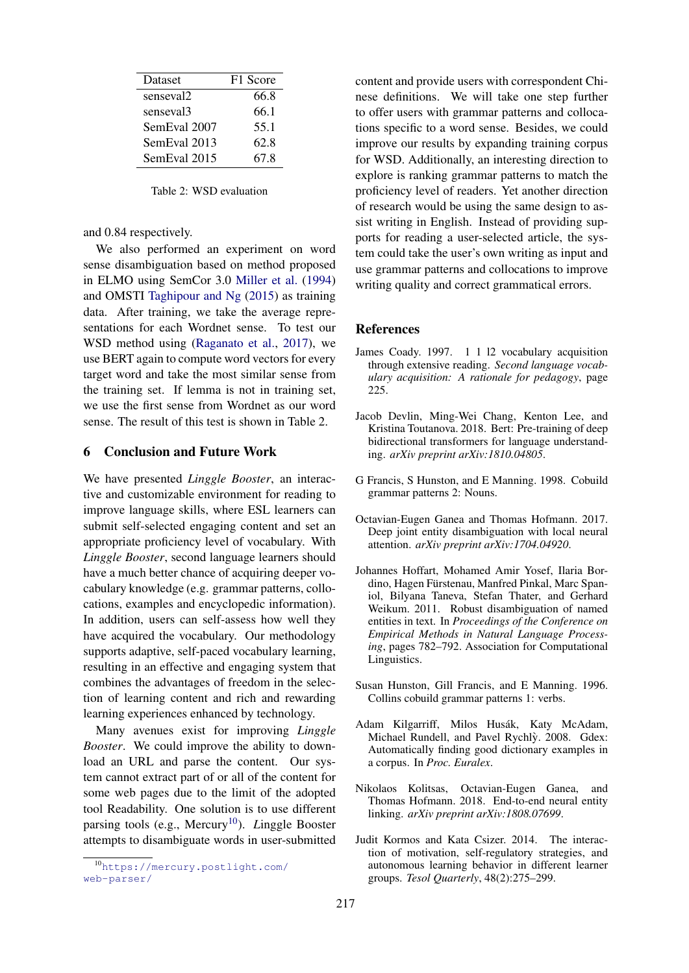| Dataset               | F1 Score |  |
|-----------------------|----------|--|
| senseval <sub>2</sub> | 66.8     |  |
| senseval <sub>3</sub> | 66.1     |  |
| SemEval 2007          | 55.1     |  |
| SemEval 2013          | 62.8     |  |
| SemEval 2015          | 67.8     |  |

Table 2: WSD evaluation

and 0.84 respectively.

We also performed an experiment on word sense disambiguation based on method proposed in ELMO using SemCor 3.0 [Miller et al.](#page-5-3) [\(1994\)](#page-5-3) and OMSTI [Taghipour and Ng](#page-5-7) [\(2015\)](#page-5-7) as training data. After training, we take the average representations for each Wordnet sense. To test our WSD method using [\(Raganato et al.,](#page-5-8) [2017\)](#page-5-8), we use BERT again to compute word vectors for every target word and take the most similar sense from the training set. If lemma is not in training set, we use the first sense from Wordnet as our word sense. The result of this test is shown in Table 2.

# 6 Conclusion and Future Work

We have presented *Linggle Booster*, an interactive and customizable environment for reading to improve language skills, where ESL learners can submit self-selected engaging content and set an appropriate proficiency level of vocabulary. With *Linggle Booster*, second language learners should have a much better chance of acquiring deeper vocabulary knowledge (e.g. grammar patterns, collocations, examples and encyclopedic information). In addition, users can self-assess how well they have acquired the vocabulary. Our methodology supports adaptive, self-paced vocabulary learning, resulting in an effective and engaging system that combines the advantages of freedom in the selection of learning content and rich and rewarding learning experiences enhanced by technology.

Many avenues exist for improving *Linggle Booster*. We could improve the ability to download an URL and parse the content. Our system cannot extract part of or all of the content for some web pages due to the limit of the adopted tool Readability. One solution is to use different parsing tools (e.g., Mercury<sup>[10](#page-4-9)</sup>). *L*inggle Booster attempts to disambiguate words in user-submitted content and provide users with correspondent Chinese definitions. We will take one step further to offer users with grammar patterns and collocations specific to a word sense. Besides, we could improve our results by expanding training corpus for WSD. Additionally, an interesting direction to explore is ranking grammar patterns to match the proficiency level of readers. Yet another direction of research would be using the same design to assist writing in English. Instead of providing supports for reading a user-selected article, the system could take the user's own writing as input and use grammar patterns and collocations to improve writing quality and correct grammatical errors.

#### References

- <span id="page-4-5"></span>James Coady. 1997. 1 1 l2 vocabulary acquisition through extensive reading. *Second language vocabulary acquisition: A rationale for pedagogy*, page 225.
- <span id="page-4-3"></span>Jacob Devlin, Ming-Wei Chang, Kenton Lee, and Kristina Toutanova. 2018. Bert: Pre-training of deep bidirectional transformers for language understanding. *arXiv preprint arXiv:1810.04805*.
- <span id="page-4-2"></span>G Francis, S Hunston, and E Manning. 1998. Cobuild grammar patterns 2: Nouns.
- <span id="page-4-7"></span>Octavian-Eugen Ganea and Thomas Hofmann. 2017. Deep joint entity disambiguation with local neural attention. *arXiv preprint arXiv:1704.04920*.
- <span id="page-4-8"></span>Johannes Hoffart, Mohamed Amir Yosef, Ilaria Bordino, Hagen Fürstenau, Manfred Pinkal, Marc Spaniol, Bilyana Taneva, Stefan Thater, and Gerhard Weikum. 2011. Robust disambiguation of named entities in text. In *Proceedings of the Conference on Empirical Methods in Natural Language Processing*, pages 782–792. Association for Computational Linguistics.
- <span id="page-4-1"></span>Susan Hunston, Gill Francis, and E Manning. 1996. Collins cobuild grammar patterns 1: verbs.
- <span id="page-4-6"></span>Adam Kilgarriff, Milos Husák, Katy McAdam, Michael Rundell, and Pavel Rychlỳ. 2008. Gdex: Automatically finding good dictionary examples in a corpus. In *Proc. Euralex*.
- <span id="page-4-4"></span>Nikolaos Kolitsas, Octavian-Eugen Ganea, and Thomas Hofmann. 2018. End-to-end neural entity linking. *arXiv preprint arXiv:1808.07699*.
- <span id="page-4-0"></span>Judit Kormos and Kata Csizer. 2014. The interaction of motivation, self-regulatory strategies, and autonomous learning behavior in different learner groups. *Tesol Quarterly*, 48(2):275–299.

<span id="page-4-9"></span><sup>10</sup>[https://mercury.postlight.com/](https://mercury.postlight.com/web-parser/) [web-parser/](https://mercury.postlight.com/web-parser/)